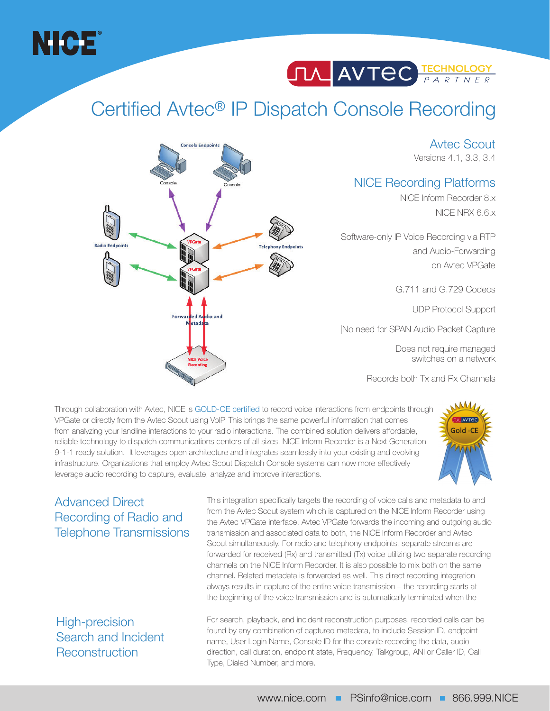



## Certified Avtec® IP Dispatch Console Recording

**Console Endpoints** 

**Forwarded Audio and** letada

Avtec Scout Versions 4.1, 3.3, 3.4

### NICE Recording Platforms

NICE Inform Recorder 8.x NICE NRX 6.6.x

Software-only IP Voice Recording via RTP and Audio-Forwarding on Avtec VPGate

G.711 and G.729 Codecs

UDP Protocol Support

|No need for SPAN Audio Packet Capture

Does not require managed switches on a network

Records both Tx and Rx Channels

Through collaboration with Avtec, NICE is GOLD-CE certified to record voice interactions from endpoints through VPGate or directly from the Avtec Scout using VoIP. This brings the same powerful information that comes from analyzing your landline interactions to your radio interactions. The combined solution delivers affordable, reliable technology to dispatch communications centers of all sizes. NICE Inform Recorder is a Next Generation 9-1-1 ready solution. It leverages open architecture and integrates seamlessly into your existing and evolving infrastructure. Organizations that employ Avtec Scout Dispatch Console systems can now more effectively leverage audio recording to capture, evaluate, analyze and improve interactions.



### Advanced Direct Recording of Radio and Telephone Transmissions

**Radio Endpoin** 

This integration specifically targets the recording of voice calls and metadata to and from the Avtec Scout system which is captured on the NICE Inform Recorder using the Avtec VPGate interface. Avtec VPGate forwards the incoming and outgoing audio transmission and associated data to both, the NICE Inform Recorder and Avtec Scout simultaneously. For radio and telephony endpoints, separate streams are forwarded for received (Rx) and transmitted (Tx) voice utilizing two separate recording channels on the NICE Inform Recorder. It is also possible to mix both on the same channel. Related metadata is forwarded as well. This direct recording integration always results in capture of the entire voice transmission – the recording starts at the beginning of the voice transmission and is automatically terminated when the

### High-precision Search and Incident **Reconstruction**

For search, playback, and incident reconstruction purposes, recorded calls can be found by any combination of captured metadata, to include Session ID, endpoint name, User Login Name, Console ID for the console recording the data, audio direction, call duration, endpoint state, Frequency, Talkgroup, ANI or Caller ID, Call Type, Dialed Number, and more.